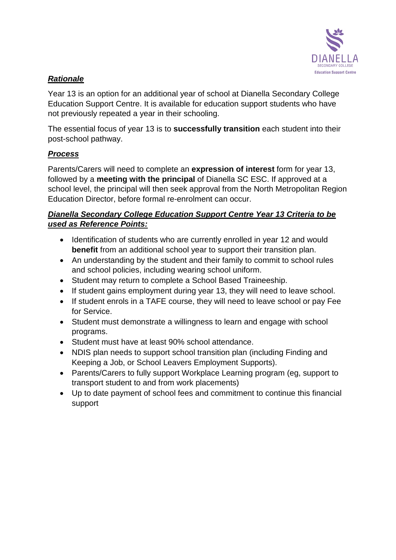

#### *Rationale*

Year 13 is an option for an additional year of school at Dianella Secondary College Education Support Centre. It is available for education support students who have not previously repeated a year in their schooling.

The essential focus of year 13 is to **successfully transition** each student into their post-school pathway.

### *Process*

Parents/Carers will need to complete an **expression of interest** form for year 13, followed by a **meeting with the principal** of Dianella SC ESC. If approved at a school level, the principal will then seek approval from the North Metropolitan Region Education Director, before formal re-enrolment can occur.

#### *Dianella Secondary College Education Support Centre Year 13 Criteria to be used as Reference Points:*

- Identification of students who are currently enrolled in year 12 and would **benefit** from an additional school year to support their transition plan.
- An understanding by the student and their family to commit to school rules and school policies, including wearing school uniform.
- Student may return to complete a School Based Traineeship.
- If student gains employment during year 13, they will need to leave school.
- If student enrols in a TAFE course, they will need to leave school or pay Fee for Service.
- Student must demonstrate a willingness to learn and engage with school programs.
- Student must have at least 90% school attendance.
- NDIS plan needs to support school transition plan (including Finding and Keeping a Job, or School Leavers Employment Supports).
- Parents/Carers to fully support Workplace Learning program (eg, support to transport student to and from work placements)
- Up to date payment of school fees and commitment to continue this financial support